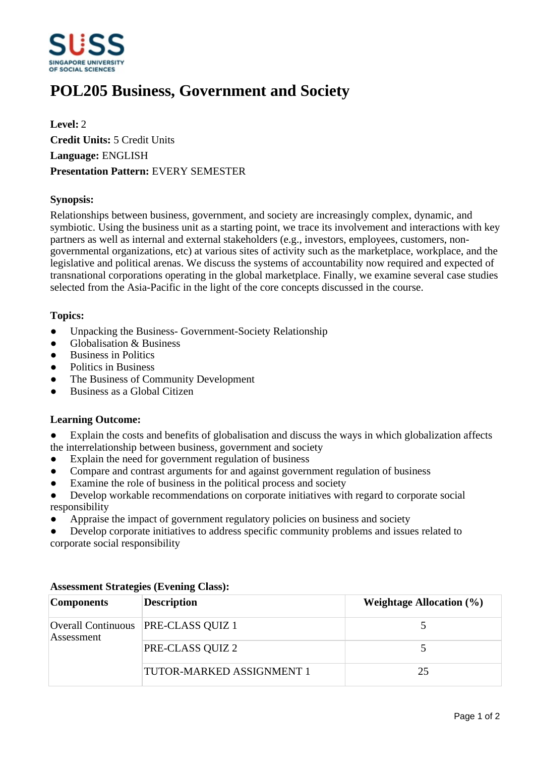

# **POL205 Business, Government and Society**

**Level:** 2 **Credit Units:** 5 Credit Units **Language:** ENGLISH **Presentation Pattern:** EVERY SEMESTER

## **Synopsis:**

Relationships between business, government, and society are increasingly complex, dynamic, and symbiotic. Using the business unit as a starting point, we trace its involvement and interactions with key partners as well as internal and external stakeholders (e.g., investors, employees, customers, nongovernmental organizations, etc) at various sites of activity such as the marketplace, workplace, and the legislative and political arenas. We discuss the systems of accountability now required and expected of transnational corporations operating in the global marketplace. Finally, we examine several case studies selected from the Asia-Pacific in the light of the core concepts discussed in the course.

### **Topics:**

- Unpacking the Business- Government-Society Relationship
- $\bullet$  Globalisation & Business
- Business in Politics
- ƔPolitics in Business
- ƔThe Business of Community Development
- ƔBusiness as a Global Citizen

### **Learning Outcome:**

Explain the costs and benefits of globalisation and discuss the ways in which globalization affects the interrelationship between business, government and society

- Explain the need for government regulation of business
- Compare and contrast arguments for and against government regulation of business
- Examine the role of business in the political process and society
- ƔDevelop workable recommendations on corporate initiatives with regard to corporate social responsibility
- Appraise the impact of government regulatory policies on business and society

Develop corporate initiatives to address specific community problems and issues related to corporate social responsibility

| <b>Components</b> | <b>Description</b>                    | Weightage Allocation $(\% )$ |
|-------------------|---------------------------------------|------------------------------|
| Assessment        | Overall Continuous   PRE-CLASS QUIZ 1 |                              |
|                   | PRE-CLASS QUIZ 2                      |                              |
|                   | TUTOR-MARKED ASSIGNMENT 1             | 25                           |

### **Assessment Strategies (Evening Class):**